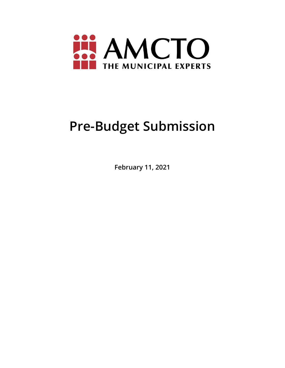

# **Pre-Budget Submission**

**February 11, 2021**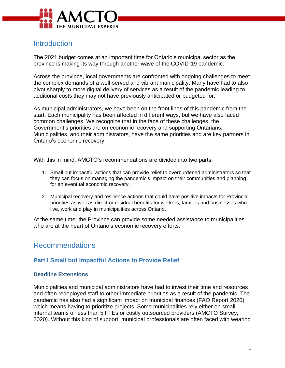

# **Introduction**

The 2021 budget comes at an important time for Ontario's municipal sector as the province is making its way through another wave of the COVID-19 pandemic.

Across the province, local governments are confronted with ongoing challenges to meet the complex demands of a well-served and vibrant municipality. Many have had to also pivot sharply to more digital delivery of services as a result of the pandemic leading to additional costs they may not have previously anticipated or budgeted for.

As municipal administrators, we have been on the front lines of this pandemic from the start. Each municipality has been affected in different ways, but we have also faced common challenges. We recognize that in the face of these challenges, the Government's priorities are on economic recovery and supporting Ontarians. Municipalities, and their administrators, have the same priorities and are key partners in Ontario's economic recovery

With this in mind, AMCTO's recommendations are divided into two parts:

- 1. Small but impactful actions that can provide relief to overburdened administrators so that they can focus on managing the pandemic's impact on their communities and planning for an eventual economic recovery.
- 2. Municipal recovery and resilience actions that could have positive impacts for Provincial priorities as well as direct or residual benefits for workers, families and businesses who live, work and play in municipalities across Ontario.

At the same time, the Province can provide some needed assistance to municipalities who are at the heart of Ontario's economic recovery efforts.

# Recommendations

### **Part I Small but Impactful Actions to Provide Relief**

#### **Deadline Extensions**

Municipalities and municipal administrators have had to invest their time and resources and often redeployed staff to other immediate priorities as a result of the pandemic. The pandemic has also had a significant impact on municipal finances (FAO Report 2020) which means having to prioritize projects. Some municipalities rely either on small internal teams of less than 5 FTEs or costly outsourced providers (AMCTO Survey, 2020). Without this kind of support, municipal professionals are often faced with wearing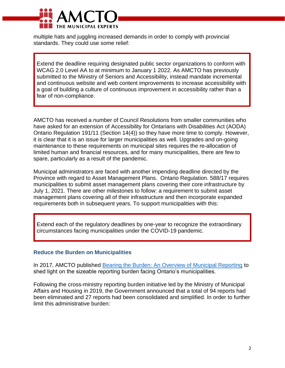

multiple hats and juggling increased demands in order to comply with provincial standards. They could use some relief:

Extend the deadline requiring designated public sector organizations to conform with WCAG 2.0 Level AA to at minimum to January 1 2022. As AMCTO has previously submitted to the Ministry of Seniors and Accessibility, instead mandate incremental and continuous website and web content improvements to increase accessibility with a goal of building a culture of continuous improvement in accessibility rather than a fear of non-compliance.

AMCTO has received a number of Council Resolutions from smaller communities who have asked for an extension of Accessibility for Ontarians with Disabilities Act (AODA) Ontario Regulation 191/11 (Section 14(4)) so they have more time to comply. However, it is clear that it is an issue for larger municipalities as well. Upgrades and on-going maintenance to these requirements on municipal sites requires the re-allocation of limited human and financial resources, and for many municipalities, there are few to spare, particularly as a result of the pandemic.

Municipal administrators are faced with another impending deadline directed by the Province with regard to Asset Management Plans. Ontario Regulation. 588/17 requires municipalities to submit asset management plans covering their core infrastructure by July 1, 2021. There are other milestones to follow: a requirement to submit asset management plans covering all of their infrastructure and then incorporate expanded requirements both in subsequent years. To support municipalities with this:

Extend each of the regulatory deadlines by one-year to recognize the extraordinary circumstances facing municipalities under the COVID-19 pandemic.

#### **Reduce the Burden on Municipalities**

In 2017, AMCTO published [Bearing the Burden: An Overview of Municipal Reporting](https://www.amcto.com/Advocacy-Policy/Reports-Positions/Issue-1-(3)) to shed light on the sizeable reporting burden facing Ontario's municipalities.

Following the cross-ministry reporting burden initiative led by the Ministry of Municipal Affairs and Housing in 2019, the Government announced that a total of 94 reports had been eliminated and 27 reports had been consolidated and simplified. In order to further limit this administrative burden: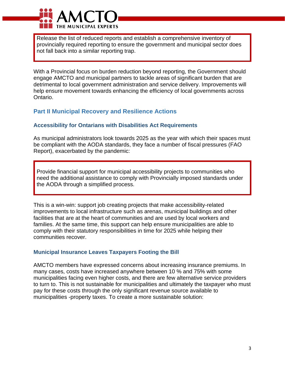

Release the list of reduced reports and establish a comprehensive inventory of provincially required reporting to ensure the government and municipal sector does not fall back into a similar reporting trap.

With a Provincial focus on burden reduction beyond reporting, the Government should engage AMCTO and municipal partners to tackle areas of significant burden that are detrimental to local government administration and service delivery. Improvements will help ensure movement towards enhancing the efficiency of local governments across Ontario.

## **Part II Municipal Recovery and Resilience Actions**

#### **Accessibility for Ontarians with Disabilities Act Requirements**

As municipal administrators look towards 2025 as the year with which their spaces must be compliant with the AODA standards, they face a number of fiscal pressures (FAO Report), exacerbated by the pandemic:

Provide financial support for municipal accessibility projects to communities who need the additional assistance to comply with Provincially imposed standards under the AODA through a simplified process.

This is a win-win: support job creating projects that make accessibility-related improvements to local infrastructure such as arenas, municipal buildings and other facilities that are at the heart of communities and are used by local workers and families. At the same time, this support can help ensure municipalities are able to comply with their statutory responsibilities in time for 2025 while helping their communities recover.

#### **Municipal Insurance Leaves Taxpayers Footing the Bill**

AMCTO members have expressed concerns about increasing insurance premiums. In many cases, costs have increased anywhere between 10 % and 75% with some municipalities facing even higher costs, and there are few alternative service providers to turn to. This is not sustainable for municipalities and ultimately the taxpayer who must pay for these costs through the only significant revenue source available to municipalities -property taxes. To create a more sustainable solution: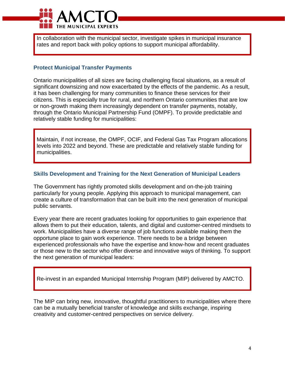

In collaboration with the municipal sector, investigate spikes in municipal insurance rates and report back with policy options to support municipal affordability.

#### **Protect Municipal Transfer Payments**

Ontario municipalities of all sizes are facing challenging fiscal situations, as a result of significant downsizing and now exacerbated by the effects of the pandemic. As a result, it has been challenging for many communities to finance these services for their citizens. This is especially true for rural, and northern Ontario communities that are low or non-growth making them increasingly dependent on transfer payments, notably, through the Ontario Municipal Partnership Fund (OMPF). To provide predictable and relatively stable funding for municipalities:

Maintain, if not increase, the OMPF, OCIF, and Federal Gas Tax Program allocations levels into 2022 and beyond. These are predictable and relatively stable funding for municipalities.

#### **Skills Development and Training for the Next Generation of Municipal Leaders**

The Government has rightly promoted skills development and on-the-job training particularly for young people. Applying this approach to municipal management, can create a culture of transformation that can be built into the next generation of municipal public servants.

Every year there are recent graduates looking for opportunities to gain experience that allows them to put their education, talents, and digital and customer-centred mindsets to work. Municipalities have a diverse range of job functions available making them the opportune place to gain work experience. There needs to be a bridge between experienced professionals who have the expertise and know-how and recent graduates or those new to the sector who offer diverse and innovative ways of thinking. To support the next generation of municipal leaders:

Re-invest in an expanded Municipal Internship Program (MIP) delivered by AMCTO.

The MIP can bring new, innovative, thoughtful practitioners to municipalities where there can be a mutually beneficial transfer of knowledge and skills exchange, inspiring creativity and customer-centred perspectives on service delivery.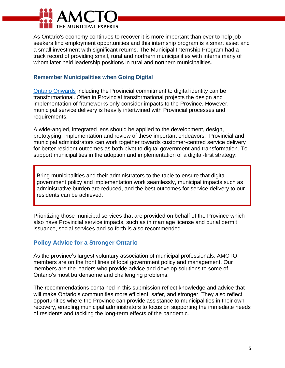

As Ontario's economy continues to recover it is more important than ever to help job seekers find employment opportunities and this internship program is a smart asset and a small investment with significant returns. The Municipal Internship Program had a track record of providing small, rural and northern municipalities with interns many of whom later held leadership positions in rural and northern municipalities.

#### **Remember Municipalities when Going Digital**

[Ontario Onwards](https://www.ontario.ca/page/ontario-onwards-action-plan) including the Provincial commitment to digital identity can be transformational. Often in Provincial transformational projects the design and implementation of frameworks only consider impacts to the Province. However, municipal service delivery is heavily intertwined with Provincial processes and requirements.

A wide-angled, integrated lens should be applied to the development, design, prototyping, implementation and review of these important endeavors. Provincial and municipal administrators can work together towards customer-centred service delivery for better resident outcomes as both pivot to digital government and transformation. To support municipalities in the adoption and implementation of a digital-first strategy:

Bring municipalities and their administrators to the table to ensure that digital government policy and implementation work seamlessly, municipal impacts such as administrative burden are reduced, and the best outcomes for service delivery to our residents can be achieved.

Prioritizing those municipal services that are provided on behalf of the Province which also have Provincial service impacts, such as in marriage license and burial permit issuance, social services and so forth is also recommended.

## **Policy Advice for a Stronger Ontario**

As the province's largest voluntary association of municipal professionals, AMCTO members are on the front lines of local government policy and management. Our members are the leaders who provide advice and develop solutions to some of Ontario's most burdensome and challenging problems.

The recommendations contained in this submission reflect knowledge and advice that will make Ontario's communities more efficient, safer, and stronger. They also reflect opportunities where the Province can provide assistance to municipalities in their own recovery, enabling municipal administrators to focus on supporting the immediate needs of residents and tackling the long-term effects of the pandemic.